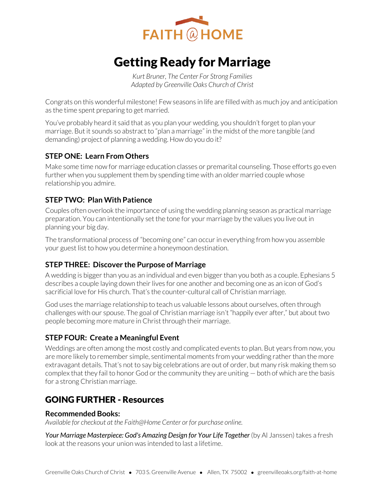

# Getting Ready for Marriage

*Kurt Bruner, The Center For Strong Families Adapted by Greenville Oaks Church of Christ* 

Congrats on this wonderful milestone! Few seasons in life are filled with as much joy and anticipation as the time spent preparing to get married.

You've probably heard it said that as you plan your wedding, you shouldn't forget to plan your marriage. But it sounds so abstract to "plan a marriage" in the midst of the more tangible (and demanding) project of planning a wedding. How do you do it?

## **STEP ONE: Learn From Others**

Make some time now for marriage education classes or premarital counseling. Those efforts go even further when you supplement them by spending time with an older married couple whose relationship you admire.

# **STEP TWO: Plan With Patience**

Couples often overlook the importance of using the wedding planning season as practical marriage preparation. You can intentionally set the tone for your marriage by the values you live out in planning your big day.

The transformational process of "becoming one" can occur in everything from how you assemble your guest list to how you determine a honeymoon destination.

# **STEP THREE: Discover the Purpose of Marriage**

A wedding is bigger than you as an individual and even bigger than you both as a couple. Ephesians 5 describes a couple laying down their lives for one another and becoming one as an icon of God's sacrificial love for His church. That's the counter-cultural call of Christian marriage.

God uses the marriage relationship to teach us valuable lessons about ourselves, often through challenges with our spouse. The goal of Christian marriage isn't "happily ever after," but about two people becoming more mature in Christ through their marriage.

# **STEP FOUR: Create a Meaningful Event**

Weddings are often among the most costly and complicated events to plan. But years from now, you are more likely to remember simple, sentimental moments from your wedding rather than the more extravagant details. That's not to say big celebrations are out of order, but many risk making them so complex that they fail to honor God or the community they are uniting — both of which are the basis for a strong Christian marriage.

# GOING FURTHER - Resources

#### **Recommended Books:**

*Available for checkout at the Faith@Home Center or for purchase online.* 

Your Marriage Masterpiece: God's Amazing Design for Your Life Together (by Al Janssen) takes a fresh look at the reasons your union was intended to last a lifetime.